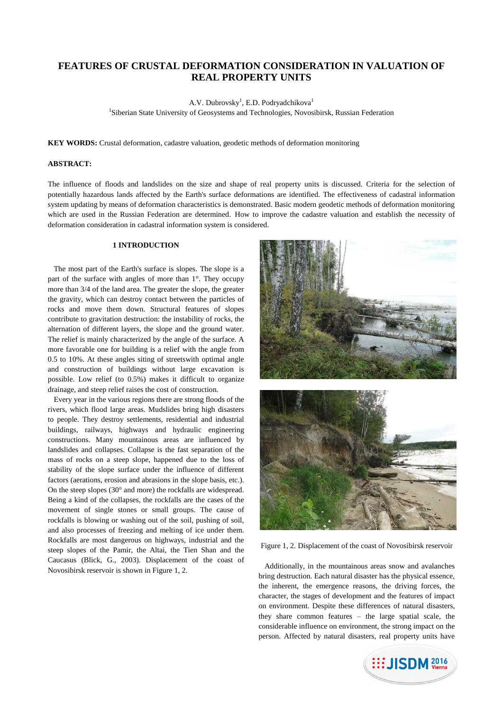# **FEATURES OF CRUSTAL DEFORMATION CONSIDERATION IN VALUATION OF REAL PROPERTY UNITS**

A.V. Dubrovsky<sup>1</sup>, E.D. Podryadchikova<sup>1</sup>

<sup>1</sup>Siberian State University of Geosystems and Technologies, Novosibirsk, Russian Federation

**KEY WORDS:** Crustal deformation, cadastre valuation, geodetic methods of deformation monitoring

## **ABSTRACT:**

The influence of floods and landslides on the size and shape of real property units is discussed. Criteria for the selection of potentially hazardous lands affected by the Earth's surface deformations are identified. The effectiveness of cadastral information system updating by means of deformation characteristics is demonstrated. Basic modern geodetic methods of deformation monitoring which are used in the Russian Federation are determined. How to improve the cadastre valuation and establish the necessity of deformation consideration in cadastral information system is considered.

## **1 INTRODUCTION**

The most part of the Earth's surface is slopes. The slope is a part of the surface with angles of more than 1°. They occupy more than 3/4 of the land area. The greater the slope, the greater the gravity, which can destroy contact between the particles of rocks and move them down. Structural features of slopes contribute to gravitation destruction: the instability of rocks, the alternation of different layers, the slope and the ground water. The relief is mainly characterized by the angle of the surface. A more favorable one for building is a relief with the angle from 0.5 to 10%. At these angles siting of streetswith optimal angle and construction of buildings without large excavation is possible. Low relief (to 0.5%) makes it difficult to organize drainage, and steep relief raises the cost of construction.

Every year in the various regions there are strong floods of the rivers, which flood large areas. Mudslides bring high disasters to people. They destroy settlements, residential and industrial buildings, railways, highways and hydraulic engineering constructions. Many mountainous areas are influenced by landslides and collapses. Collapse is the fast separation of the mass of rocks on a steep slope, happened due to the loss of stability of the slope surface under the influence of different factors (aerations, erosion and abrasions in the slope basis, etc.). On the steep slopes (30° and more) the rockfalls are widespread. Being a kind of the collapses, the rockfalls are the cases of the movement of single stones or small groups. The cause of rockfalls is blowing or washing out of the soil, pushing of soil, and also processes of freezing and melting of ice under them. Rockfalls are most dangerous on highways, industrial and the steep slopes of the Pamir, the Altai, the Tien Shan and the Caucasus (Blick, G., 2003). Displacement of the coast of Novosibirsk reservoir is shown in Figure 1, 2.





Figure 1, 2. Displacement of the coast of Novosibirsk reservoir

Additionally, in the mountainous areas snow and avalanches bring destruction. Each natural disaster has the physical essence, the inherent, the emergence reasons, the driving forces, the character, the stages of development and the features of impact on environment. Despite these differences of natural disasters, they share common features – the large spatial scale, the considerable influence on environment, the strong impact on the person. Affected by natural disasters, real property units have

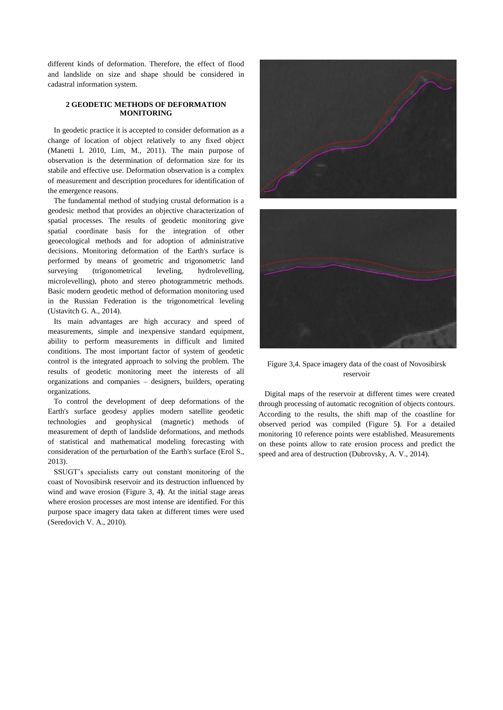different kinds of deformation. Therefore, the effect of flood and landslide on size and shape should be considered in cadastral information system.

#### **2 GEODETIC METHODS OF DEFORMATION MONITORING**

In geodetic practice it is accepted to consider deformation as a change of location of object relatively to any fixed object (Manetti L 2010, Lim, M., 2011). The main purpose of observation is the determination of deformation size for its stabile and effective use. Deformation observation is a complex of measurement and description procedures for identification of the emergence reasons.

The fundamental method of studying crustal deformation is a geodesic method that provides an objective characterization of spatial processes. The results of geodetic monitoring give spatial coordinate basis for the integration of other geoecological methods and for adoption of administrative decisions. Monitoring deformation of the Earth's surface is performed by means of geometric and trigonometric land surveying (trigonometrical leveling, hydrolevelling, microlevelling), photo and stereo photogrammetric methods. Basic modern geodetic method of deformation monitoring used in the Russian Federation is the trigonometrical leveling (Ustavitch G. A., 2014).

Its main advantages are high accuracy and speed of measurements, simple and inexpensive standard equipment, ability to perform measurements in difficult and limited conditions. The most important factor of system of geodetic control is the integrated approach to solving the problem. The results of geodetic monitoring meet the interests of all organizations and companies – designers, builders, operating organizations.

To control the development of deep deformations of the Earth's surface geodesy applies modern satellite geodetic technologies and geophysical (magnetic) methods of measurement of depth of landslide deformations, and methods of statistical and mathematical modeling forecasting with consideration of the perturbation of the Earth's surface (Erol S., 2013).

SSUGT's specialists carry out constant monitoring of the coast of Novosibirsk reservoir and its destruction influenced by wind and wave erosion (Figure 3, 4**)**. At the initial stage areas where erosion processes are most intense are identified. For this purpose space imagery data taken at different times were used (Seredovich V. A., 2010).





Figure 3,4. Space imagery data of the coast of Novosibirsk reservoir

Digital maps of the reservoir at different times were created through processing of automatic recognition of objects contours. According to the results, the shift map of the coastline for observed period was compiled (Figure 5**)**. For a detailed monitoring 10 reference points were established. Measurements on these points allow to rate erosion process and predict the speed and area of destruction (Dubrovsky, A. V., 2014).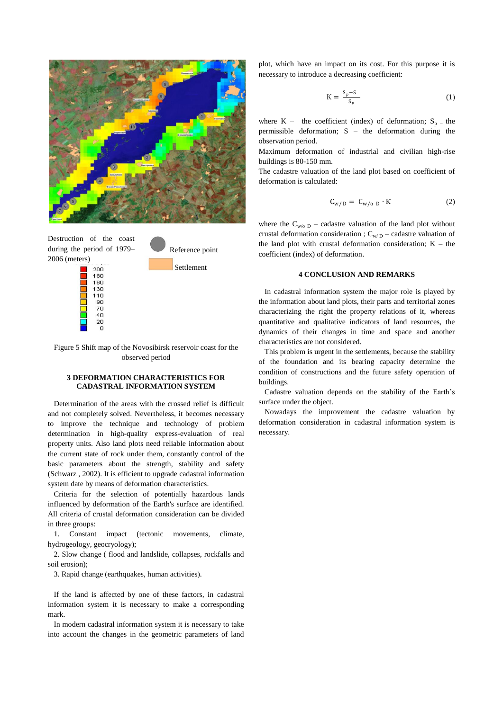

Destruction of the coast during the period of 1979– 2006 (meters)

Reference point Settlement

Figure 5 Shift map of the Novosibirsk reservoir coast for the observed period

## **3 DEFORMATION CHARACTERISTICS FOR CADASTRAL INFORMATION SYSTEM**

Determination of the areas with the crossed relief is difficult and not completely solved. Nevertheless, it becomes necessary to improve the technique and technology of problem determination in high-quality express-evaluation of real property units. Also land plots need reliable information about the current state of rock under them, constantly control of the basic parameters about the strength, stability and safety (Schwarz , 2002). It is efficient to upgrade cadastral information system date by means of deformation characteristics.

Criteria for the selection of potentially hazardous lands influenced by deformation of the Earth's surface are identified. All criteria of crustal deformation consideration can be divided in three groups:

1. Constant impact (tectonic movements, climate, hydrogeology, geocryology);

2. Slow change ( flood and landslide, collapses, rockfalls and soil erosion);

3. Rapid change (earthquakes, human activities).

If the land is affected by one of these factors, in cadastral information system it is necessary to make a corresponding mark.

In modern cadastral information system it is necessary to take into account the changes in the geometric parameters of land plot, which have an impact on its cost. For this purpose it is necessary to introduce a decreasing coefficient:

$$
K = \frac{S_p - S}{S_p} \tag{1}
$$

where  $K -$  the coefficient (index) of deformation;  $S_p$  – the permissible deformation; S – the deformation during the observation period.

Maximum deformation of industrial and civilian high-rise buildings is 80-150 mm.

The cadastre valuation of the land plot based on coefficient of deformation is calculated:

$$
C_{w/D} = C_{w/o D} \cdot K \tag{2}
$$

where the  $C_{w/o,D}$  – cadastre valuation of the land plot without crustal deformation consideration ;  $C_{w/D}$  – cadastre valuation of the land plot with crustal deformation consideration;  $K -$  the coefficient (index) of deformation.

## **4 CONCLUSION AND REMARKS**

In cadastral information system the major role is played by the information about land plots, their parts and territorial zones characterizing the right the property relations of it, whereas quantitative and qualitative indicators of land resources, the dynamics of their changes in time and space and another characteristics are not considered.

This problem is urgent in the settlements, because the stability of the foundation and its bearing capacity determine the condition of constructions and the future safety operation of buildings.

Cadastre valuation depends on the stability of the Earth's surface under the object.

Nowadays the improvement the cadastre valuation by deformation consideration in cadastral information system is necessary.